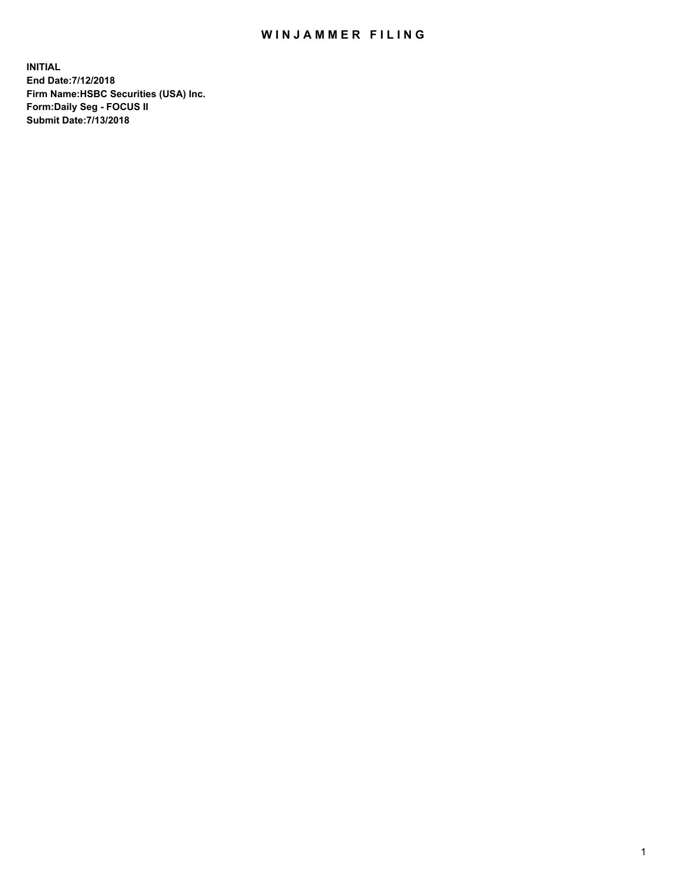## WIN JAMMER FILING

**INITIAL End Date:7/12/2018 Firm Name:HSBC Securities (USA) Inc. Form:Daily Seg - FOCUS II Submit Date:7/13/2018**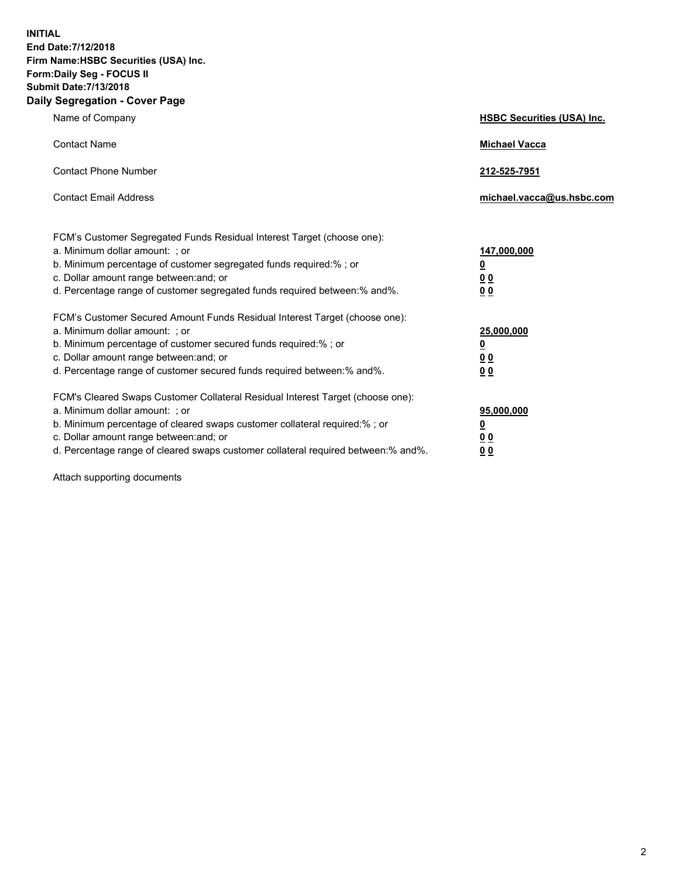**INITIAL End Date:7/12/2018 Firm Name:HSBC Securities (USA) Inc. Form:Daily Seg - FOCUS II Submit Date:7/13/2018 Daily Segregation - Cover Page**

| Name of Company                                                                                                                                                                                                                                                                                                                | <b>HSBC Securities (USA) Inc.</b>                                           |
|--------------------------------------------------------------------------------------------------------------------------------------------------------------------------------------------------------------------------------------------------------------------------------------------------------------------------------|-----------------------------------------------------------------------------|
| <b>Contact Name</b>                                                                                                                                                                                                                                                                                                            | <b>Michael Vacca</b>                                                        |
| <b>Contact Phone Number</b>                                                                                                                                                                                                                                                                                                    | 212-525-7951                                                                |
| <b>Contact Email Address</b>                                                                                                                                                                                                                                                                                                   | michael.vacca@us.hsbc.com                                                   |
| FCM's Customer Segregated Funds Residual Interest Target (choose one):<br>a. Minimum dollar amount: ; or<br>b. Minimum percentage of customer segregated funds required:% ; or<br>c. Dollar amount range between: and; or<br>d. Percentage range of customer segregated funds required between:% and%.                         | 147,000,000<br>$\underline{\mathbf{0}}$<br>0 <sub>0</sub><br>0 <sub>0</sub> |
| FCM's Customer Secured Amount Funds Residual Interest Target (choose one):<br>a. Minimum dollar amount: ; or<br>b. Minimum percentage of customer secured funds required:% ; or<br>c. Dollar amount range between: and; or<br>d. Percentage range of customer secured funds required between: % and %.                         | 25,000,000<br><u>0</u><br>0 <sub>0</sub><br>0 <sub>0</sub>                  |
| FCM's Cleared Swaps Customer Collateral Residual Interest Target (choose one):<br>a. Minimum dollar amount: ; or<br>b. Minimum percentage of cleared swaps customer collateral required:% ; or<br>c. Dollar amount range between: and; or<br>d. Percentage range of cleared swaps customer collateral required between:% and%. | 95,000,000<br><u>0</u><br>00<br>00                                          |

Attach supporting documents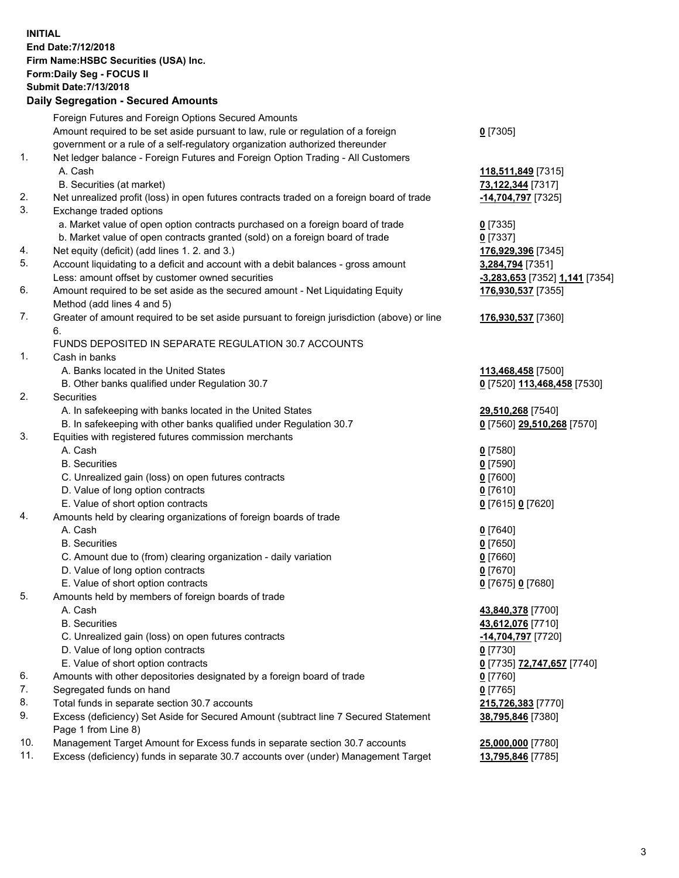**INITIAL End Date:7/12/2018 Firm Name:HSBC Securities (USA) Inc. Form:Daily Seg - FOCUS II Submit Date:7/13/2018 Daily Segregation - Secured Amounts**

Foreign Futures and Foreign Options Secured Amounts Amount required to be set aside pursuant to law, rule or regulation of a foreign government or a rule of a self-regulatory organization authorized thereunder **0** [7305] 1. Net ledger balance - Foreign Futures and Foreign Option Trading - All Customers A. Cash **118,511,849** [7315] B. Securities (at market) **73,122,344** [7317] 2. Net unrealized profit (loss) in open futures contracts traded on a foreign board of trade **-14,704,797** [7325] 3. Exchange traded options a. Market value of open option contracts purchased on a foreign board of trade **0** [7335] b. Market value of open contracts granted (sold) on a foreign board of trade **0** [7337] 4. Net equity (deficit) (add lines 1. 2. and 3.) **176,929,396** [7345] 5. Account liquidating to a deficit and account with a debit balances - gross amount **3,284,794** [7351] Less: amount offset by customer owned securities **-3,283,653** [7352] **1,141** [7354] 6. Amount required to be set aside as the secured amount - Net Liquidating Equity Method (add lines 4 and 5) **176,930,537** [7355] 7. Greater of amount required to be set aside pursuant to foreign jurisdiction (above) or line 6. **176,930,537** [7360] FUNDS DEPOSITED IN SEPARATE REGULATION 30.7 ACCOUNTS 1. Cash in banks A. Banks located in the United States **113,468,458** [7500] B. Other banks qualified under Regulation 30.7 **0** [7520] **113,468,458** [7530] 2. Securities A. In safekeeping with banks located in the United States **29,510,268** [7540] B. In safekeeping with other banks qualified under Regulation 30.7 **0** [7560] **29,510,268** [7570] 3. Equities with registered futures commission merchants A. Cash **0** [7580] B. Securities **0** [7590] C. Unrealized gain (loss) on open futures contracts **0** [7600] D. Value of long option contracts **0** [7610] E. Value of short option contracts **0** [7615] **0** [7620] 4. Amounts held by clearing organizations of foreign boards of trade A. Cash **0** [7640] B. Securities **0** [7650] C. Amount due to (from) clearing organization - daily variation **0** [7660] D. Value of long option contracts **0** [7670] E. Value of short option contracts **0** [7675] **0** [7680] 5. Amounts held by members of foreign boards of trade A. Cash **43,840,378** [7700] B. Securities **43,612,076** [7710] C. Unrealized gain (loss) on open futures contracts **-14,704,797** [7720] D. Value of long option contracts **0** [7730] E. Value of short option contracts **0** [7735] **72,747,657** [7740] 6. Amounts with other depositories designated by a foreign board of trade **0** [7760] 7. Segregated funds on hand **0** [7765] 8. Total funds in separate section 30.7 accounts **215,726,383** [7770] 9. Excess (deficiency) Set Aside for Secured Amount (subtract line 7 Secured Statement Page 1 from Line 8) **38,795,846** [7380] 10. Management Target Amount for Excess funds in separate section 30.7 accounts **25,000,000** [7780] 11. Excess (deficiency) funds in separate 30.7 accounts over (under) Management Target **13,795,846** [7785]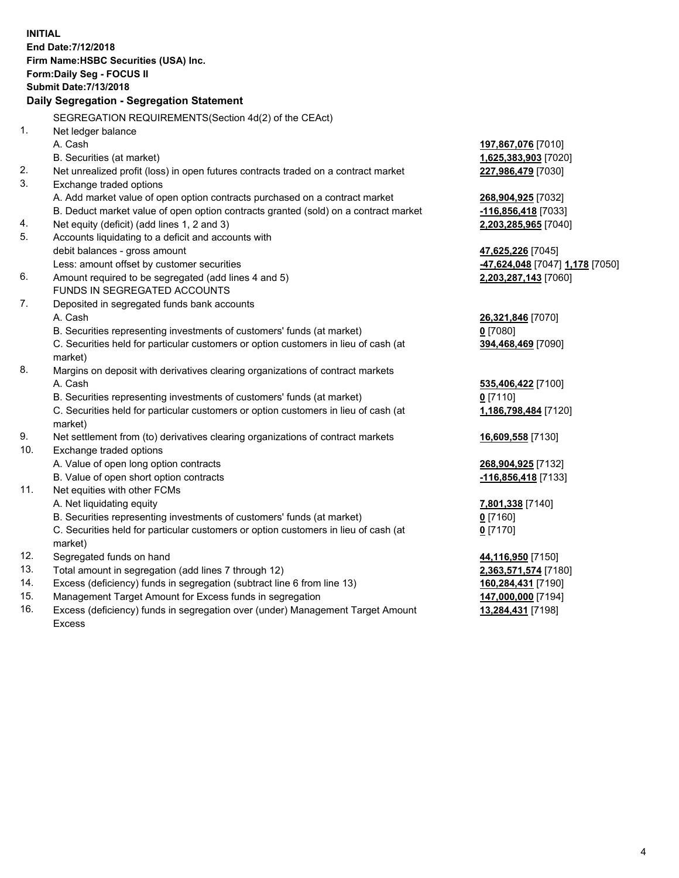**INITIAL End Date:7/12/2018 Firm Name:HSBC Securities (USA) Inc. Form:Daily Seg - FOCUS II Submit Date:7/13/2018 Daily Segregation - Segregation Statement** SEGREGATION REQUIREMENTS(Section 4d(2) of the CEAct) 1. Net ledger balance A. Cash **197,867,076** [7010] B. Securities (at market) **1,625,383,903** [7020] 2. Net unrealized profit (loss) in open futures contracts traded on a contract market **227,986,479** [7030] 3. Exchange traded options A. Add market value of open option contracts purchased on a contract market **268,904,925** [7032] B. Deduct market value of open option contracts granted (sold) on a contract market **-116,856,418** [7033] 4. Net equity (deficit) (add lines 1, 2 and 3) **2,203,285,965** [7040] 5. Accounts liquidating to a deficit and accounts with debit balances - gross amount **47,625,226** [7045] Less: amount offset by customer securities **-47,624,048** [7047] **1,178** [7050] 6. Amount required to be segregated (add lines 4 and 5) **2,203,287,143** [7060] FUNDS IN SEGREGATED ACCOUNTS 7. Deposited in segregated funds bank accounts A. Cash **26,321,846** [7070] B. Securities representing investments of customers' funds (at market) **0** [7080] C. Securities held for particular customers or option customers in lieu of cash (at market) **394,468,469** [7090] 8. Margins on deposit with derivatives clearing organizations of contract markets A. Cash **535,406,422** [7100] B. Securities representing investments of customers' funds (at market) **0** [7110] C. Securities held for particular customers or option customers in lieu of cash (at market) **1,186,798,484** [7120] 9. Net settlement from (to) derivatives clearing organizations of contract markets **16,609,558** [7130] 10. Exchange traded options A. Value of open long option contracts **268,904,925** [7132] B. Value of open short option contracts **-116,856,418** [7133] 11. Net equities with other FCMs A. Net liquidating equity **7,801,338** [7140] B. Securities representing investments of customers' funds (at market) **0** [7160] C. Securities held for particular customers or option customers in lieu of cash (at market) **0** [7170] 12. Segregated funds on hand **44,116,950** [7150] 13. Total amount in segregation (add lines 7 through 12) **2,363,571,574** [7180] 14. Excess (deficiency) funds in segregation (subtract line 6 from line 13) **160,284,431** [7190] 15. Management Target Amount for Excess funds in segregation **147,000,000** [7194]

16. Excess (deficiency) funds in segregation over (under) Management Target Amount Excess

**13,284,431** [7198]